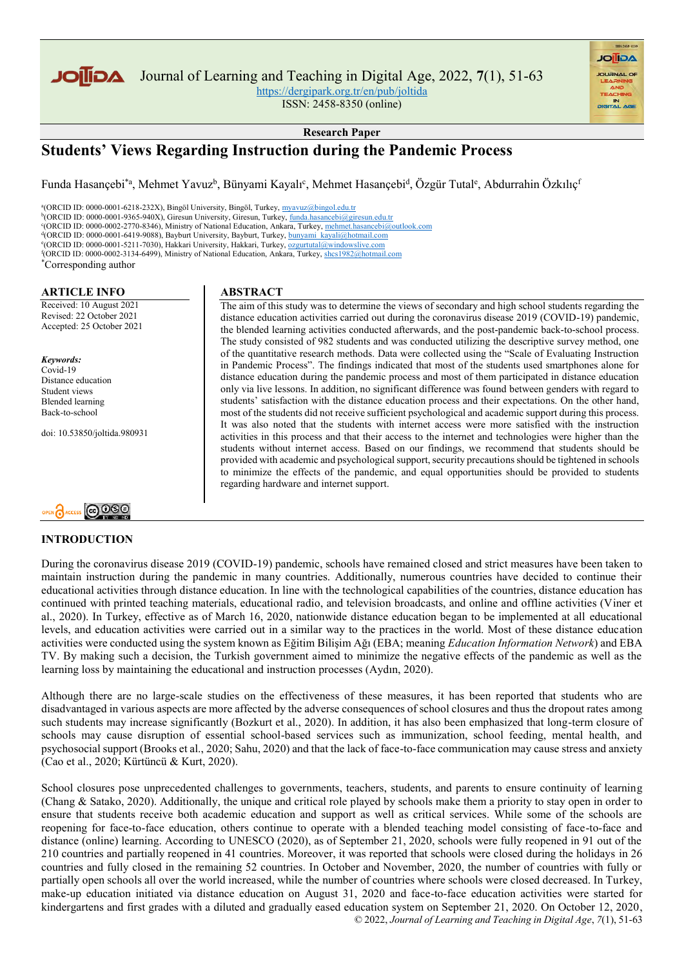

Journal of Learning and Teaching in Digital Age, 2022, **7**(1), 51-63

<https://dergipark.org.tr/en/pub/joltida>

ISSN: 2458-8350 (online)

**Research Paper**

# **Students' Views Regarding Instruction during the Pandemic Process**

Funda Hasançebi<sup>\*a</sup>, Mehmet Yavuz<sup>b</sup>, Bünyami Kayalı<sup>c</sup>, Mehmet Hasançebi<sup>d</sup>, Özgür Tutal<sup>e</sup>, Abdurrahin Özkılıç<sup>ı</sup>

<sup>a</sup>(ORCID ID: 0000-0001-6218-232X), Bingöl University, Bingöl, Turkey, <u>[myavuz@bingol.edu.tr](mailto:myavuz@bingol.edu.tr)</u><br><sup>b</sup>(ORCID ID: 0000-0001-9365-940X), Giresun University, Giresun, Turkey, <u>funda.hasancebi@giresun.edu.tr</u> c (ORCID ID: 0000-0002-2770-8346), Ministry of National Education, Ankara, Turkey[, mehmet.hasancebi@outlook.com](mailto:mehmet.hasancebi@outlook.com) <sup>d</sup>(ORCID ID: 0000-0001-6419-9088), Bayburt University, Bayburt, Turkey[, bunyami\\_kayali@hotmail.com](mailto:bunyami_kayali@hotmail.com) e(ORCID ID: 0000-0001-5211-7030), Hakkari University, Hakkari, Turkey, [ozgurtutal@windowslive.com](mailto:ozgurtutal@windowslive.com) f (ORCID ID: 0000-0002-3134-6499), Ministry of National Education, Ankara, Turkey[, shcs1982@hotmail.com](mailto:shcs1982@hotmail.com) \*Corresponding author

**ARTICLE INFO** Received: 10 August 2021 Revised: 22 October 2021 Accepted: 25 October 2021

*Keywords:* Covid-19 Distance education Student views Blended learning Back-to-school

doi: 10.53850/joltida.980931



# **INTRODUCTION**

## **ABSTRACT**

The aim of this study was to determine the views of secondary and high school students regarding the distance education activities carried out during the coronavirus disease 2019 (COVID-19) pandemic, the blended learning activities conducted afterwards, and the post-pandemic back-to-school process. The study consisted of 982 students and was conducted utilizing the descriptive survey method, one of the quantitative research methods. Data were collected using the "Scale of Evaluating Instruction in Pandemic Process". The findings indicated that most of the students used smartphones alone for distance education during the pandemic process and most of them participated in distance education only via live lessons. In addition, no significant difference was found between genders with regard to students' satisfaction with the distance education process and their expectations. On the other hand, most of the students did not receive sufficient psychological and academic support during this process. It was also noted that the students with internet access were more satisfied with the instruction activities in this process and that their access to the internet and technologies were higher than the students without internet access. Based on our findings, we recommend that students should be provided with academic and psychological support, security precautions should be tightened in schools to minimize the effects of the pandemic, and equal opportunities should be provided to students regarding hardware and internet support.

**AGIIOL** 

During the coronavirus disease 2019 (COVID-19) pandemic, schools have remained closed and strict measures have been taken to maintain instruction during the pandemic in many countries. Additionally, numerous countries have decided to continue their educational activities through distance education. In line with the technological capabilities of the countries, distance education has continued with printed teaching materials, educational radio, and television broadcasts, and online and offline activities (Viner et al., 2020). In Turkey, effective as of March 16, 2020, nationwide distance education began to be implemented at all educational levels, and education activities were carried out in a similar way to the practices in the world. Most of these distance education activities were conducted using the system known as Eğitim Bilişim Ağı (EBA; meaning *Education Information Network*) and EBA TV. By making such a decision, the Turkish government aimed to minimize the negative effects of the pandemic as well as the learning loss by maintaining the educational and instruction processes (Aydın, 2020).

Although there are no large-scale studies on the effectiveness of these measures, it has been reported that students who are disadvantaged in various aspects are more affected by the adverse consequences of school closures and thus the dropout rates among such students may increase significantly (Bozkurt et al., 2020). In addition, it has also been emphasized that long-term closure of schools may cause disruption of essential school-based services such as immunization, school feeding, mental health, and psychosocial support (Brooks et al., 2020; Sahu, 2020) and that the lack of face-to-face communication may cause stress and anxiety (Cao et al., 2020; Kürtüncü & Kurt, 2020).

 © 2022, *Journal of Learning and Teaching in Digital Age*, *7*(1), 51-63 School closures pose unprecedented challenges to governments, teachers, students, and parents to ensure continuity of learning (Chang & Satako, 2020). Additionally, the unique and critical role played by schools make them a priority to stay open in order to ensure that students receive both academic education and support as well as critical services. While some of the schools are reopening for face-to-face education, others continue to operate with a blended teaching model consisting of face-to-face and distance (online) learning. According to UNESCO (2020), as of September 21, 2020, schools were fully reopened in 91 out of the 210 countries and partially reopened in 41 countries. Moreover, it was reported that schools were closed during the holidays in 26 countries and fully closed in the remaining 52 countries. In October and November, 2020, the number of countries with fully or partially open schools all over the world increased, while the number of countries where schools were closed decreased. In Turkey, make-up education initiated via distance education on August 31, 2020 and face-to-face education activities were started for kindergartens and first grades with a diluted and gradually eased education system on September 21, 2020. On October 12, 2020,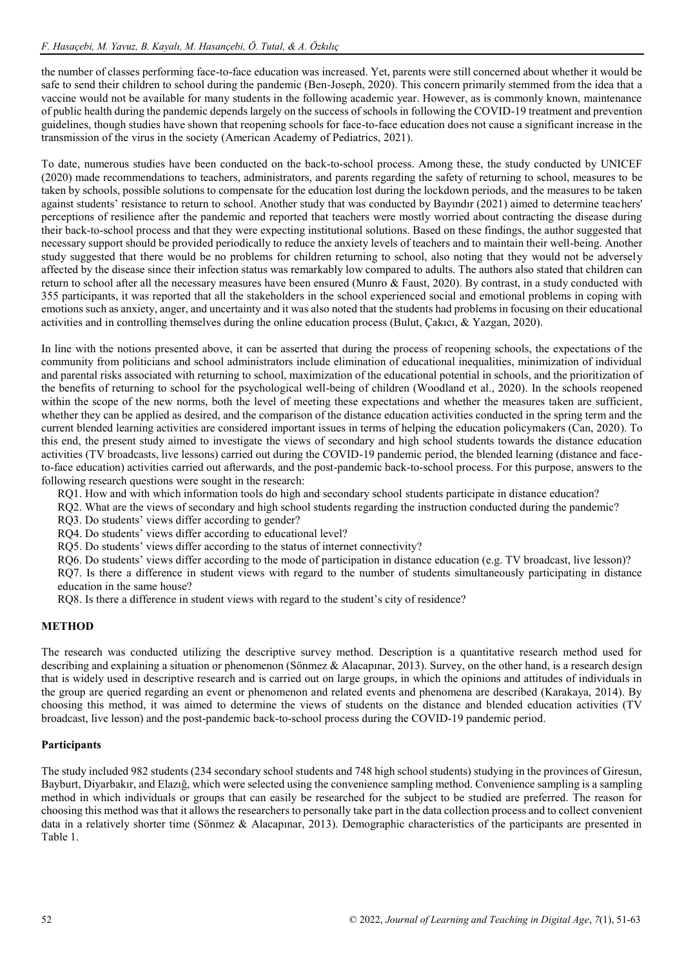the number of classes performing face-to-face education was increased. Yet, parents were still concerned about whether it would be safe to send their children to school during the pandemic (Ben-Joseph, 2020). This concern primarily stemmed from the idea that a vaccine would not be available for many students in the following academic year. However, as is commonly known, maintenance of public health during the pandemic depends largely on the success of schools in following the COVID-19 treatment and prevention guidelines, though studies have shown that reopening schools for face-to-face education does not cause a significant increase in the transmission of the virus in the society (American Academy of Pediatrics, 2021).

To date, numerous studies have been conducted on the back-to-school process. Among these, the study conducted by UNICEF (2020) made recommendations to teachers, administrators, and parents regarding the safety of returning to school, measures to be taken by schools, possible solutions to compensate for the education lost during the lockdown periods, and the measures to be taken against students' resistance to return to school. Another study that was conducted by Bayındır (2021) aimed to determine teachers' perceptions of resilience after the pandemic and reported that teachers were mostly worried about contracting the disease during their back-to-school process and that they were expecting institutional solutions. Based on these findings, the author suggested that necessary support should be provided periodically to reduce the anxiety levels of teachers and to maintain their well-being. Another study suggested that there would be no problems for children returning to school, also noting that they would not be adversely affected by the disease since their infection status was remarkably low compared to adults. The authors also stated that children can return to school after all the necessary measures have been ensured (Munro & Faust, 2020). By contrast, in a study conducted with 355 participants, it was reported that all the stakeholders in the school experienced social and emotional problems in coping with emotions such as anxiety, anger, and uncertainty and it was also noted that the students had problems in focusing on their educational activities and in controlling themselves during the online education process (Bulut, Çakıcı, & Yazgan, 2020).

In line with the notions presented above, it can be asserted that during the process of reopening schools, the expectations of the community from politicians and school administrators include elimination of educational inequalities, minimization of individual and parental risks associated with returning to school, maximization of the educational potential in schools, and the prioritization of the benefits of returning to school for the psychological well-being of children (Woodland et al., 2020). In the schools reopened within the scope of the new norms, both the level of meeting these expectations and whether the measures taken are sufficient, whether they can be applied as desired, and the comparison of the distance education activities conducted in the spring term and the current blended learning activities are considered important issues in terms of helping the education policymakers (Can, 2020). To this end, the present study aimed to investigate the views of secondary and high school students towards the distance education activities (TV broadcasts, live lessons) carried out during the COVID-19 pandemic period, the blended learning (distance and faceto-face education) activities carried out afterwards, and the post-pandemic back-to-school process. For this purpose, answers to the following research questions were sought in the research:

RQ1. How and with which information tools do high and secondary school students participate in distance education?

- RQ2. What are the views of secondary and high school students regarding the instruction conducted during the pandemic?
- RQ3. Do students' views differ according to gender?
- RQ4. Do students' views differ according to educational level?
- RQ5. Do students' views differ according to the status of internet connectivity?

RO6. Do students' views differ according to the mode of participation in distance education (e.g. TV broadcast, live lesson)? RQ7. Is there a difference in student views with regard to the number of students simultaneously participating in distance education in the same house?

RQ8. Is there a difference in student views with regard to the student's city of residence?

# **METHOD**

The research was conducted utilizing the descriptive survey method. Description is a quantitative research method used for describing and explaining a situation or phenomenon (Sönmez & Alacapınar, 2013). Survey, on the other hand, is a research design that is widely used in descriptive research and is carried out on large groups, in which the opinions and attitudes of individuals in the group are queried regarding an event or phenomenon and related events and phenomena are described (Karakaya, 2014). By choosing this method, it was aimed to determine the views of students on the distance and blended education activities (TV broadcast, live lesson) and the post-pandemic back-to-school process during the COVID-19 pandemic period.

## **Participants**

The study included 982 students (234 secondary school students and 748 high school students) studying in the provinces of Giresun, Bayburt, Diyarbakır, and Elazığ, which were selected using the convenience sampling method. Convenience sampling is a sampling method in which individuals or groups that can easily be researched for the subject to be studied are preferred. The reason for choosing this method was that it allows the researchers to personally take part in the data collection process and to collect convenient data in a relatively shorter time (Sönmez & Alacapınar, 2013). Demographic characteristics of the participants are presented in Table 1.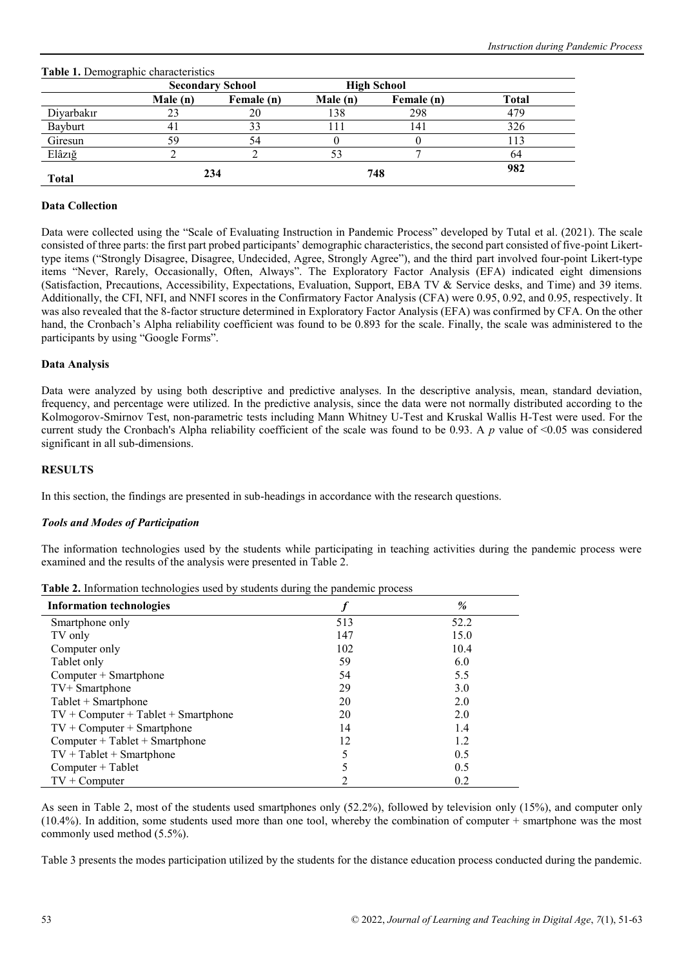|              |         | <b>Secondary School</b> |          | <b>High School</b> |              |  |
|--------------|---------|-------------------------|----------|--------------------|--------------|--|
|              | Male(n) | Female (n)              | Male (n) | Female (n)         | <b>Total</b> |  |
| Diyarbakır   | 23      | 20                      | 138      | 298                | 479          |  |
| Bayburt      | 4       |                         |          | 141                | 326          |  |
| Giresun      | 59      | 54                      |          |                    | 113          |  |
| Elâzığ       |         |                         |          |                    | 64           |  |
| <b>Total</b> |         | 234                     |          | 748                | 982          |  |

## **Table 1.** Demographic characteristics

# **Data Collection**

Data were collected using the "Scale of Evaluating Instruction in Pandemic Process" developed by Tutal et al. (2021). The scale consisted of three parts: the first part probed participants' demographic characteristics, the second part consisted of five-point Likerttype items ("Strongly Disagree, Disagree, Undecided, Agree, Strongly Agree"), and the third part involved four-point Likert-type items "Never, Rarely, Occasionally, Often, Always". The Exploratory Factor Analysis (EFA) indicated eight dimensions (Satisfaction, Precautions, Accessibility, Expectations, Evaluation, Support, EBA TV & Service desks, and Time) and 39 items. Additionally, the CFI, NFI, and NNFI scores in the Confirmatory Factor Analysis (CFA) were 0.95, 0.92, and 0.95, respectively. It was also revealed that the 8-factor structure determined in Exploratory Factor Analysis (EFA) was confirmed by CFA. On the other hand, the Cronbach's Alpha reliability coefficient was found to be 0.893 for the scale. Finally, the scale was administered to the participants by using "Google Forms".

## **Data Analysis**

Data were analyzed by using both descriptive and predictive analyses. In the descriptive analysis, mean, standard deviation, frequency, and percentage were utilized. In the predictive analysis, since the data were not normally distributed according to the Kolmogorov-Smirnov Test, non-parametric tests including Mann Whitney U-Test and Kruskal Wallis H-Test were used. For the current study the Cronbach's Alpha reliability coefficient of the scale was found to be 0.93. A *p* value of <0.05 was considered significant in all sub-dimensions.

## **RESULTS**

In this section, the findings are presented in sub-headings in accordance with the research questions.

## *Tools and Modes of Participation*

The information technologies used by the students while participating in teaching activities during the pandemic process were examined and the results of the analysis were presented in Table 2.

| <b>Information technologies</b>       |     | $\%$ |
|---------------------------------------|-----|------|
| Smartphone only                       | 513 | 52.2 |
| TV only                               | 147 | 15.0 |
| Computer only                         | 102 | 10.4 |
| Tablet only                           | 59  | 6.0  |
| $Computer + Smartphone$               | 54  | 5.5  |
| TV+ Smartphone                        | 29  | 3.0  |
| Tablet + Smartphone                   | 20  | 2.0  |
| $TV + Computer + Tablet + Smartphone$ | 20  | 2.0  |
| $TV + Computer + Smartphone$          | 14  | 1.4  |
| $Computer + Tablet + Smartphone$      | 12  | 1.2  |
| $TV + Tablet + Smartphone$            | 5   | 0.5  |
| Computer + Tablet                     | 5   | 0.5  |
| $TV + Computer$                       | າ   | 0.2  |

**Table 2.** Information technologies used by students during the pandemic process

As seen in Table 2, most of the students used smartphones only (52.2%), followed by television only (15%), and computer only (10.4%). In addition, some students used more than one tool, whereby the combination of computer + smartphone was the most commonly used method (5.5%).

Table 3 presents the modes participation utilized by the students for the distance education process conducted during the pandemic.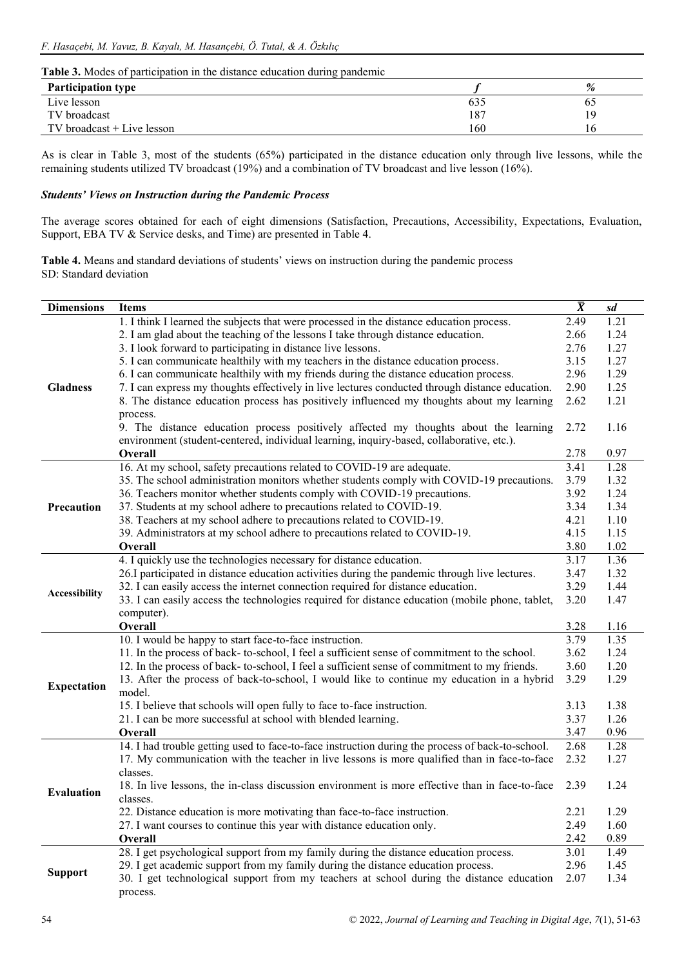#### **Table 3.** Modes of participation in the distance education during pandemic

| <b>Participation type</b>  |     | %  |
|----------------------------|-----|----|
| Live lesson                | 635 | 6C |
| TV broadcast               | 187 | 19 |
| TV broadcast + Live lesson | 160 | 10 |

As is clear in Table 3, most of the students (65%) participated in the distance education only through live lessons, while the remaining students utilized TV broadcast (19%) and a combination of TV broadcast and live lesson (16%).

# *Students' Views on Instruction during the Pandemic Process*

The average scores obtained for each of eight dimensions (Satisfaction, Precautions, Accessibility, Expectations, Evaluation, Support, EBA TV & Service desks, and Time) are presented in Table 4.

**Table 4.** Means and standard deviations of students' views on instruction during the pandemic process SD: Standard deviation

| <b>Dimensions</b>  | <b>Items</b>                                                                                                                                             | $\overline{X}$ | sd           |
|--------------------|----------------------------------------------------------------------------------------------------------------------------------------------------------|----------------|--------------|
|                    | 1. I think I learned the subjects that were processed in the distance education process.                                                                 | 2.49           | 1.21         |
|                    | 2. I am glad about the teaching of the lessons I take through distance education.                                                                        | 2.66           | 1.24         |
|                    | 3. I look forward to participating in distance live lessons.                                                                                             | 2.76           | 1.27         |
|                    | 5. I can communicate healthily with my teachers in the distance education process.                                                                       | 3.15           | 1.27         |
|                    | 6. I can communicate healthily with my friends during the distance education process.                                                                    | 2.96           | 1.29         |
| <b>Gladness</b>    | 7. I can express my thoughts effectively in live lectures conducted through distance education.                                                          | 2.90           | 1.25         |
|                    | 8. The distance education process has positively influenced my thoughts about my learning                                                                | 2.62           | 1.21         |
|                    | process.                                                                                                                                                 |                |              |
|                    | 9. The distance education process positively affected my thoughts about the learning                                                                     | 2.72           | 1.16         |
|                    | environment (student-centered, individual learning, inquiry-based, collaborative, etc.).                                                                 |                |              |
|                    | Overall                                                                                                                                                  | 2.78           | 0.97         |
|                    | 16. At my school, safety precautions related to COVID-19 are adequate.                                                                                   | 3.41           | 1.28         |
|                    | 35. The school administration monitors whether students comply with COVID-19 precautions.                                                                | 3.79           | 1.32         |
|                    | 36. Teachers monitor whether students comply with COVID-19 precautions.                                                                                  | 3.92           | 1.24         |
| Precaution         | 37. Students at my school adhere to precautions related to COVID-19.                                                                                     | 3.34           | 1.34         |
|                    | 38. Teachers at my school adhere to precautions related to COVID-19.                                                                                     | 4.21           | 1.10         |
|                    | 39. Administrators at my school adhere to precautions related to COVID-19.                                                                               | 4.15           | 1.15         |
|                    | Overall                                                                                                                                                  | 3.80           | 1.02         |
|                    | 4. I quickly use the technologies necessary for distance education.                                                                                      | 3.17           | 1.36         |
|                    | 26.I participated in distance education activities during the pandemic through live lectures.                                                            | 3.47           | 1.32         |
| Accessibility      | 32. I can easily access the internet connection required for distance education.                                                                         | 3.29           | 1.44         |
|                    | 33. I can easily access the technologies required for distance education (mobile phone, tablet,                                                          | 3.20           | 1.47         |
|                    | computer).                                                                                                                                               |                |              |
|                    | Overall                                                                                                                                                  | 3.28<br>3.79   | 1.16<br>1.35 |
|                    | 10. I would be happy to start face-to-face instruction.<br>11. In the process of back- to-school, I feel a sufficient sense of commitment to the school. | 3.62           | 1.24         |
|                    | 12. In the process of back-to-school, I feel a sufficient sense of commitment to my friends.                                                             | 3.60           | 1.20         |
|                    | 13. After the process of back-to-school, I would like to continue my education in a hybrid                                                               | 3.29           | 1.29         |
| <b>Expectation</b> | model.                                                                                                                                                   |                |              |
|                    | 15. I believe that schools will open fully to face to-face instruction.                                                                                  | 3.13           | 1.38         |
|                    | 21. I can be more successful at school with blended learning.                                                                                            | 3.37           | 1.26         |
|                    | Overall                                                                                                                                                  | 3.47           | 0.96         |
|                    | 14. I had trouble getting used to face-to-face instruction during the process of back-to-school.                                                         | 2.68           | 1.28         |
|                    | 17. My communication with the teacher in live lessons is more qualified than in face-to-face                                                             | 2.32           | 1.27         |
|                    | classes.                                                                                                                                                 |                |              |
|                    | 18. In live lessons, the in-class discussion environment is more effective than in face-to-face                                                          | 2.39           | 1.24         |
| <b>Evaluation</b>  | classes.                                                                                                                                                 |                |              |
|                    | 22. Distance education is more motivating than face-to-face instruction.                                                                                 | 2.21           | 1.29         |
|                    | 27. I want courses to continue this year with distance education only.                                                                                   | 2.49           | 1.60         |
|                    | Overall                                                                                                                                                  | 2.42           | 0.89         |
|                    | 28. I get psychological support from my family during the distance education process.                                                                    | 3.01           | 1.49         |
|                    | 29. I get academic support from my family during the distance education process.                                                                         | 2.96           | 1.45         |
| <b>Support</b>     | 30. I get technological support from my teachers at school during the distance education                                                                 | 2.07           | 1.34         |
|                    | process.                                                                                                                                                 |                |              |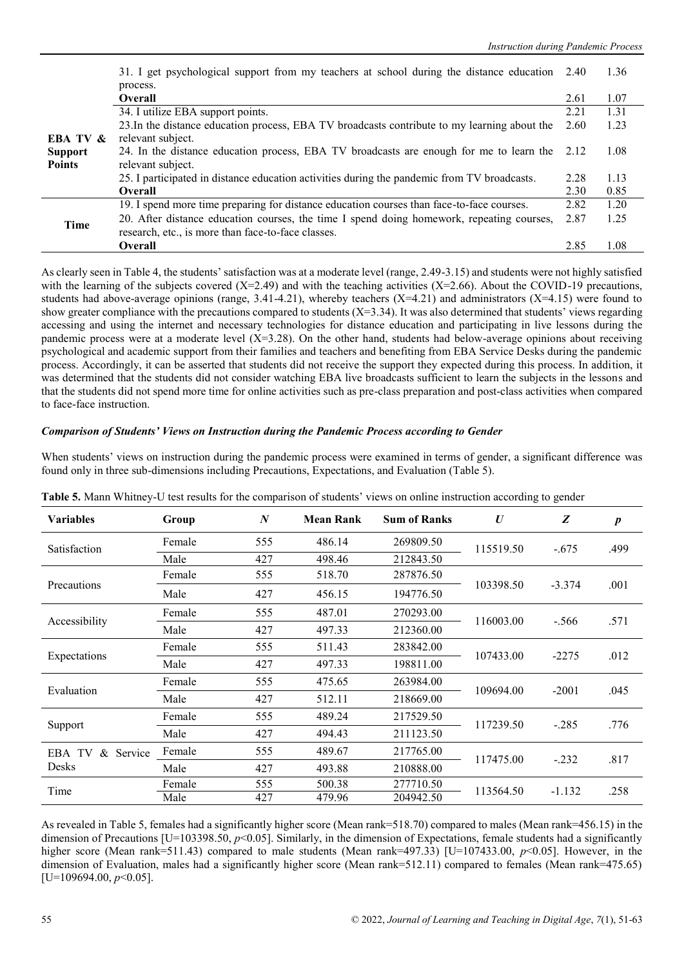|                     | 31. I get psychological support from my teachers at school during the distance education     | 2.40 | 1.36 |
|---------------------|----------------------------------------------------------------------------------------------|------|------|
|                     | process.                                                                                     |      |      |
|                     | <b>Overall</b>                                                                               | 2.61 | 1.07 |
|                     | 34. I utilize EBA support points.                                                            | 2.21 | 1.31 |
|                     | 23. In the distance education process, EBA TV broadcasts contribute to my learning about the | 2.60 | 1.23 |
| <b>EBA TV &amp;</b> | relevant subject.                                                                            |      |      |
| <b>Support</b>      | 24. In the distance education process, EBA TV broadcasts are enough for me to learn the 2.12 |      | 1.08 |
| <b>Points</b>       | relevant subject.                                                                            |      |      |
|                     | 25. I participated in distance education activities during the pandemic from TV broadcasts.  | 2.28 | 1.13 |
|                     | Overall                                                                                      | 2.30 | 0.85 |
|                     | 19. I spend more time preparing for distance education courses than face-to-face courses.    | 2.82 | 1.20 |
| <b>Time</b>         | 20. After distance education courses, the time I spend doing homework, repeating courses,    | 2.87 | 1.25 |
|                     | research, etc., is more than face-to-face classes.                                           |      |      |
|                     | <b>Overall</b>                                                                               | 2.85 | 1.08 |

As clearly seen in Table 4, the students' satisfaction was at a moderate level (range, 2.49-3.15) and students were not highly satisfied with the learning of the subjects covered  $(X=2.49)$  and with the teaching activities  $(X=2.66)$ . About the COVID-19 precautions, students had above-average opinions (range,  $3.41-4.21$ ), whereby teachers (X=4.21) and administrators (X=4.15) were found to show greater compliance with the precautions compared to students  $(X=3.34)$ . It was also determined that students' views regarding accessing and using the internet and necessary technologies for distance education and participating in live lessons during the pandemic process were at a moderate level  $(X=3.28)$ . On the other hand, students had below-average opinions about receiving psychological and academic support from their families and teachers and benefiting from EBA Service Desks during the pandemic process. Accordingly, it can be asserted that students did not receive the support they expected during this process. In addition, it was determined that the students did not consider watching EBA live broadcasts sufficient to learn the subjects in the lessons and that the students did not spend more time for online activities such as pre-class preparation and post-class activities when compared to face-face instruction.

#### *Comparison of Students' Views on Instruction during the Pandemic Process according to Gender*

When students' views on instruction during the pandemic process were examined in terms of gender, a significant difference was found only in three sub-dimensions including Precautions, Expectations, and Evaluation (Table 5).

| <b>Variables</b>          | Group  | $\boldsymbol{N}$ | <b>Mean Rank</b> | <b>Sum of Ranks</b> | U         | Z        | $\boldsymbol{p}$ |
|---------------------------|--------|------------------|------------------|---------------------|-----------|----------|------------------|
| Satisfaction              | Female | 555              | 486.14           | 269809.50           | 115519.50 | $-.675$  | .499             |
|                           | Male   | 427              | 498.46           | 212843.50           |           |          |                  |
|                           | Female | 555              | 518.70           | 287876.50           |           |          |                  |
| Precautions               | Male   | 427              | 456.15           | 194776.50           | 103398.50 | $-3.374$ | .001             |
|                           | Female | 555              | 487.01           | 270293.00           | 116003.00 |          | .571             |
| Accessibility             | Male   | 427              | 497.33           | 212360.00           |           | $-.566$  |                  |
|                           | Female | 555              | 511.43           | 283842.00           |           | $-2275$  |                  |
| Expectations              | Male   | 427              | 497.33           | 198811.00           | 107433.00 |          | .012             |
| Evaluation                | Female | 555              | 475.65           | 263984.00           | 109694.00 | $-2001$  | .045             |
|                           | Male   | 427              | 512.11           | 218669.00           |           |          |                  |
|                           | Female | 555              | 489.24           | 217529.50           |           |          |                  |
| Support                   | Male   | 427              | 494.43           | 211123.50           | 117239.50 | $-.285$  | .776             |
| $\&$<br>Service<br>EBA TV | Female | 555              | 489.67           | 217765.00           |           |          |                  |
| Desks                     | Male   | 427              | 493.88           | 210888.00           | 117475.00 | $-.232$  | .817             |
| Time                      | Female | 555              | 500.38           | 277710.50           | 113564.50 | $-1.132$ | .258             |
|                           | Male   | 427              | 479.96           | 204942.50           |           |          |                  |

**Table 5.** Mann Whitney-U test results for the comparison of students' views on online instruction according to gender

As revealed in Table 5, females had a significantly higher score (Mean rank=518.70) compared to males (Mean rank=456.15) in the dimension of Precautions [U=103398.50, *p*<0.05]. Similarly, in the dimension of Expectations, female students had a significantly higher score (Mean rank=511.43) compared to male students (Mean rank=497.33) [U=107433.00, *p*<0.05]. However, in the dimension of Evaluation, males had a significantly higher score (Mean rank=512.11) compared to females (Mean rank=475.65) [U=109694.00, *p*<0.05].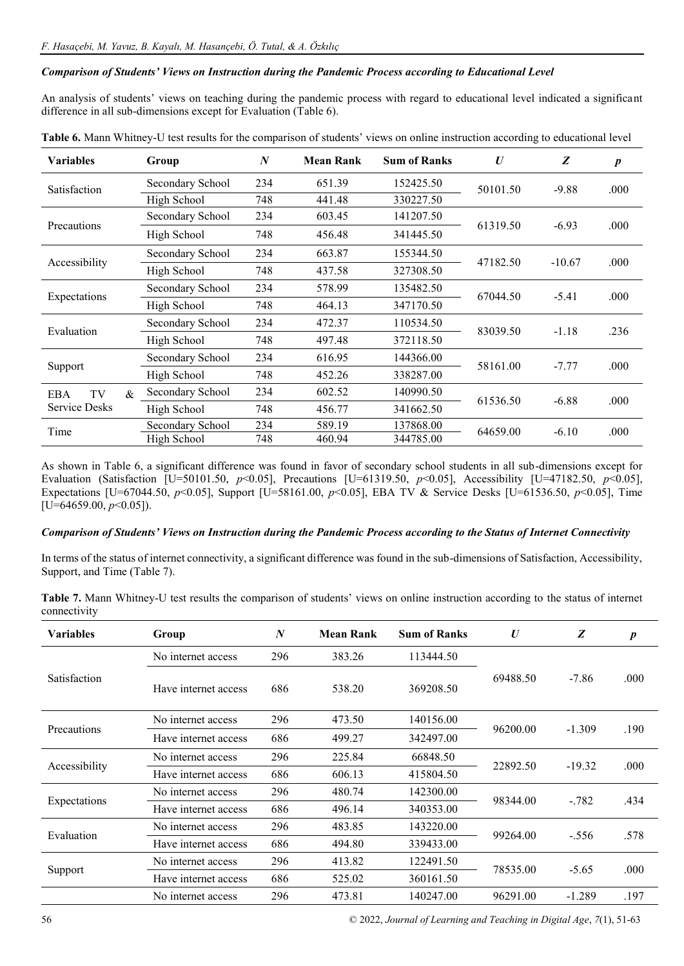## *Comparison of Students' Views on Instruction during the Pandemic Process according to Educational Level*

An analysis of students' views on teaching during the pandemic process with regard to educational level indicated a significant difference in all sub-dimensions except for Evaluation (Table 6).

| <b>Variables</b>     | Group            | $\boldsymbol{N}$ | <b>Mean Rank</b> | <b>Sum of Ranks</b> | $\boldsymbol{U}$ | Z        | $\boldsymbol{p}$ |
|----------------------|------------------|------------------|------------------|---------------------|------------------|----------|------------------|
| Satisfaction         | Secondary School | 234              | 651.39           | 152425.50           | 50101.50         | $-9.88$  | .000             |
|                      | High School      | 748              | 441.48           | 330227.50           |                  |          |                  |
|                      | Secondary School | 234              | 603.45           | 141207.50           |                  | $-6.93$  |                  |
| Precautions          | High School      | 748              | 456.48           | 341445.50           | 61319.50         |          | .000             |
|                      | Secondary School | 234              | 663.87           | 155344.50           |                  | $-10.67$ |                  |
| Accessibility        | High School      | 748              | 437.58           | 327308.50           | 47182.50         |          | .000             |
|                      | Secondary School | 234              | 578.99           | 135482.50           | 67044.50         | $-5.41$  | .000             |
| Expectations         | High School      | 748              | 464.13           | 347170.50           |                  |          |                  |
| Evaluation           | Secondary School | 234              | 472.37           | 110534.50           | 83039.50         |          | .236             |
|                      | High School      | 748              | 497.48           | 372118.50           |                  | $-1.18$  |                  |
|                      | Secondary School | 234              | 616.95           | 144366.00           | 58161.00         |          |                  |
| Support              | High School      | 748              | 452.26           | 338287.00           |                  | $-7.77$  | .000             |
| TV<br>$\&$<br>EBA    | Secondary School | 234              | 602.52           | 140990.50           |                  |          |                  |
| <b>Service Desks</b> | High School      | 748              | 456.77           | 341662.50           | 61536.50         | $-6.88$  | .000             |
| Time                 | Secondary School | 234              | 589.19           | 137868.00           | 64659.00         | $-6.10$  | .000             |
|                      | High School      | 748              | 460.94           | 344785.00           |                  |          |                  |

**Table 6.** Mann Whitney-U test results for the comparison of students' views on online instruction according to educational level

As shown in Table 6, a significant difference was found in favor of secondary school students in all sub-dimensions except for Evaluation (Satisfaction [U=50101.50, *p*<0.05], Precautions [U=61319.50, *p*<0.05], Accessibility [U=47182.50, *p*<0.05], Expectations [U=67044.50, *p*<0.05], Support [U=58161.00, *p*<0.05], EBA TV & Service Desks [U=61536.50, *p*<0.05], Time  $[U=64659.00, p<0.05]$ .

## *Comparison of Students' Views on Instruction during the Pandemic Process according to the Status of Internet Connectivity*

In terms of the status of internet connectivity, a significant difference was found in the sub-dimensions of Satisfaction, Accessibility, Support, and Time (Table 7).

| Table 7. Mann Whitney-U test results the comparison of students' views on online instruction according to the status of internet |  |  |  |  |  |
|----------------------------------------------------------------------------------------------------------------------------------|--|--|--|--|--|
| connectivity                                                                                                                     |  |  |  |  |  |

| <b>Variables</b> | Group                | N   | <b>Mean Rank</b> | <b>Sum of Ranks</b> | $\bm{U}$ | Z        | $\boldsymbol{p}$ |
|------------------|----------------------|-----|------------------|---------------------|----------|----------|------------------|
|                  | No internet access   | 296 | 383.26           | 113444.50           |          |          |                  |
| Satisfaction     | Have internet access | 686 | 538.20           | 369208.50           | 69488.50 | $-7.86$  | .000             |
|                  | No internet access   | 296 | 473.50           | 140156.00           |          |          |                  |
| Precautions      | Have internet access | 686 | 499.27           | 342497.00           | 96200.00 | $-1.309$ | .190             |
|                  | No internet access   | 296 | 225.84           | 66848.50            | 22892.50 | $-19.32$ | .000             |
| Accessibility    | Have internet access | 686 | 606.13           | 415804.50           |          |          |                  |
|                  | No internet access   | 296 | 480.74           | 142300.00           | 98344.00 | $-0.782$ | .434             |
| Expectations     | Have internet access | 686 | 496.14           | 340353.00           |          |          |                  |
| Evaluation       | No internet access   | 296 | 483.85           | 143220.00           | 99264.00 | $-.556$  | .578             |
|                  | Have internet access | 686 | 494.80           | 339433.00           |          |          |                  |
| Support          | No internet access   | 296 | 413.82           | 122491.50           | 78535.00 | $-5.65$  | .000             |
|                  | Have internet access | 686 | 525.02           | 360161.50           |          |          |                  |
|                  | No internet access   | 296 | 473.81           | 140247.00           | 96291.00 | $-1.289$ | .197             |

56 © 2022, *Journal of Learning and Teaching in Digital Age*, *7*(1), 51-63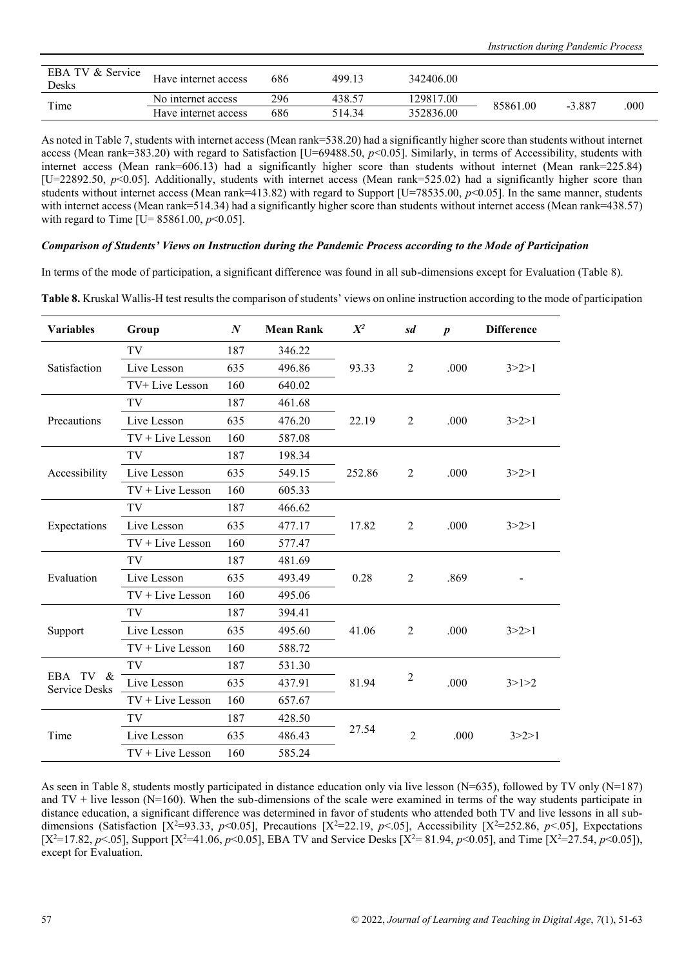| EBA TV & Service<br>Desks | Have internet access | 686 | 499.13 | 342406.00 |          |          |      |
|---------------------------|----------------------|-----|--------|-----------|----------|----------|------|
|                           | No internet access   | 296 | 438.57 | 129817.00 | 85861.00 | $-3.887$ | .000 |
| Time                      | Have internet access | 686 | 514.34 | 352836.00 |          |          |      |

As noted in Table 7, students with internet access (Mean rank=538.20) had a significantly higher score than students without internet access (Mean rank=383.20) with regard to Satisfaction [U=69488.50,  $p$ <0.05]. Similarly, in terms of Accessibility, students with internet access (Mean rank=606.13) had a significantly higher score than students without internet (Mean rank=225.84) [U=22892.50,  $p$ <0.05]. Additionally, students with internet access (Mean rank=525.02) had a significantly higher score than students without internet access (Mean rank=413.82) with regard to Support [U=78535.00,  $p<0.05$ ]. In the same manner, students with internet access (Mean rank=514.34) had a significantly higher score than students without internet access (Mean rank=438.57) with regard to Time [U=  $85861.00, p<0.05$ ].

#### *Comparison of Students' Views on Instruction during the Pandemic Process according to the Mode of Participation*

In terms of the mode of participation, a significant difference was found in all sub-dimensions except for Evaluation (Table 8).

| <b>Variables</b>                    | Group              | $\boldsymbol{N}$ | <b>Mean Rank</b> | $X^2$  | sd                      | $\boldsymbol{p}$ | <b>Difference</b> |  |
|-------------------------------------|--------------------|------------------|------------------|--------|-------------------------|------------------|-------------------|--|
|                                     | TV                 | 187              | 346.22           |        |                         |                  |                   |  |
| Satisfaction                        | Live Lesson        | 635              | 496.86           | 93.33  | $\overline{2}$          | .000             | 3 > 2 > 1         |  |
|                                     | TV+ Live Lesson    | 160              | 640.02           |        |                         |                  |                   |  |
|                                     | TV                 | 187              | 461.68           |        |                         |                  |                   |  |
| Precautions                         | Live Lesson        | 635              | 476.20           | 22.19  | 2                       | .000             | 3 > 2 > 1         |  |
|                                     | $TV + Live Lesson$ | 160              | 587.08           |        |                         |                  |                   |  |
|                                     | TV                 | 187              | 198.34           |        |                         |                  |                   |  |
| Accessibility                       | Live Lesson        | 635              | 549.15           | 252.86 | 2                       | .000             | 3 > 2 > 1         |  |
|                                     | $TV + Live Lesson$ | 160              | 605.33           |        |                         |                  |                   |  |
| Expectations                        | TV                 | 187              | 466.62           |        |                         |                  |                   |  |
|                                     | Live Lesson        | 635              | 477.17           | 17.82  | 2                       | .000             | 3 > 2 > 1         |  |
|                                     | $TV + Live Lesson$ | 160              | 577.47           |        |                         |                  |                   |  |
|                                     | TV                 | 187              | 481.69           |        |                         |                  |                   |  |
| Evaluation                          | Live Lesson        | 635              | 493.49           | 0.28   | $\overline{2}$          | .869             |                   |  |
|                                     | $TV + Live Lesson$ | 160              | 495.06           |        |                         |                  |                   |  |
|                                     | TV                 | 187              | 394.41           |        |                         |                  |                   |  |
| Support                             | Live Lesson        | 635              | 495.60           | 41.06  | $\overline{2}$          | .000             | 3 > 2 > 1         |  |
|                                     | $TV + Live Lesson$ | 160              | 588.72           |        |                         |                  |                   |  |
|                                     | TV                 | 187              | 531.30           |        |                         |                  |                   |  |
| EBA<br>TV &<br><b>Service Desks</b> | Live Lesson        | 635              | 437.91           | 81.94  | $\overline{\mathbf{c}}$ | .000             | 3>1>2             |  |
|                                     | $TV + Live Lesson$ | 160              | 657.67           |        |                         |                  |                   |  |
|                                     | TV                 | 187              | 428.50           |        |                         |                  |                   |  |
| Time                                | Live Lesson        | 635              | 486.43           | 27.54  | $\overline{2}$          | .000             | 3 > 2 > 1         |  |
|                                     | $TV + Live Lesson$ | 160              | 585.24           |        |                         |                  |                   |  |

**Table 8.** Kruskal Wallis-H test results the comparison of students' views on online instruction according to the mode of participation

As seen in Table 8, students mostly participated in distance education only via live lesson (N=635), followed by TV only (N=187) and  $TV +$  live lesson ( $N=160$ ). When the sub-dimensions of the scale were examined in terms of the way students participate in distance education, a significant difference was determined in favor of students who attended both TV and live lessons in all subdimensions (Satisfaction  $[X^2=93.33, p<0.05]$ , Precautions  $[X^2=22.19, p<0.05]$ , Accessibility  $[X^2=252.86, p<0.05]$ , Expectations  $[X^2=17.82, p<0.05]$ , Support  $[X^2=41.06, p<0.05]$ , EBA TV and Service Desks  $[X^2=81.94, p<0.05]$ , and Time  $[X^2=27.54, p<0.05]$ ), except for Evaluation.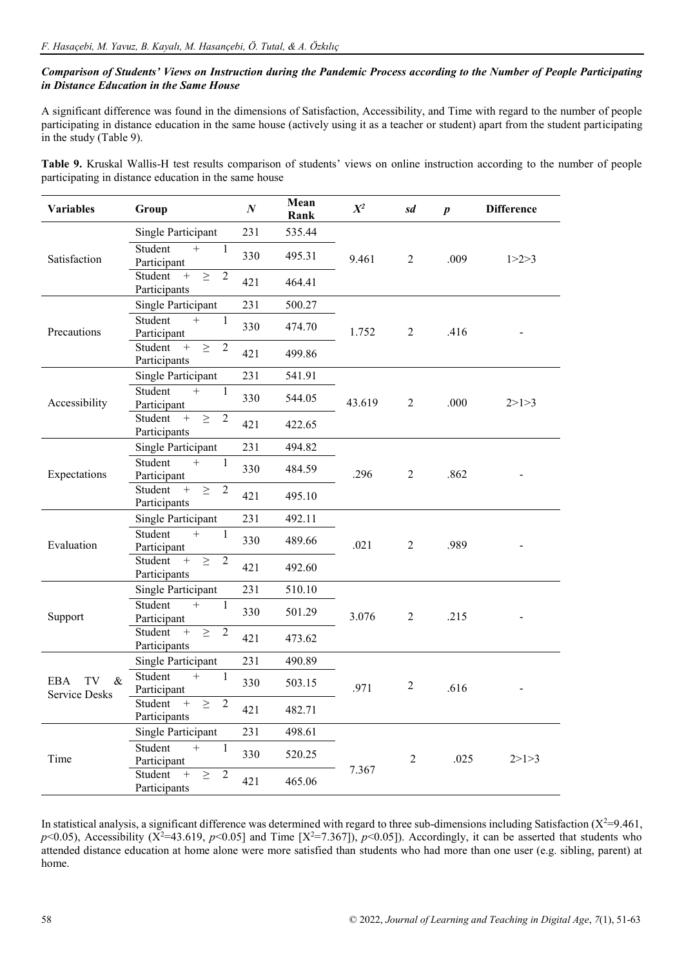# *Comparison of Students' Views on Instruction during the Pandemic Process according to the Number of People Participating in Distance Education in the Same House*

A significant difference was found in the dimensions of Satisfaction, Accessibility, and Time with regard to the number of people participating in distance education in the same house (actively using it as a teacher or student) apart from the student participating in the study (Table 9).

**Table 9.** Kruskal Wallis-H test results comparison of students' views on online instruction according to the number of people participating in distance education in the same house

| <b>Variables</b>                                 | Group                                                                   | $\boldsymbol{N}$ | Mean<br>Rank | $X^2$  | sd             | $\boldsymbol{p}$ | <b>Difference</b> |
|--------------------------------------------------|-------------------------------------------------------------------------|------------------|--------------|--------|----------------|------------------|-------------------|
|                                                  | Single Participant                                                      | 231              | 535.44       |        |                |                  |                   |
| Satisfaction                                     | Student<br>$\! + \!$<br>$\mathbf{1}$<br>Participant                     | 330              | 495.31       | 9.461  | $\overline{2}$ | .009             | 1 > 2 > 3         |
|                                                  | Student<br>$\overline{2}$<br>$\! + \!\!\!\!$<br>$\geq$<br>Participants  | 421              | 464.41       |        |                |                  |                   |
|                                                  | <b>Single Participant</b>                                               | 231              | 500.27       |        |                |                  |                   |
| Precautions                                      | Student<br>$^{+}$<br>$\mathbf{1}$<br>Participant                        | 330              | 474.70       | 1.752  | $\overline{2}$ | .416             |                   |
|                                                  | Student<br>$\overline{2}$<br>$+$<br>$\geq$<br>Participants              | 421              | 499.86       |        |                |                  |                   |
|                                                  | Single Participant                                                      | 231              | 541.91       |        |                |                  |                   |
| Accessibility                                    | Student<br>$^{+}$<br>1<br>Participant                                   | 330              | 544.05       | 43.619 | $\overline{2}$ | .000             | 2>1>3             |
|                                                  | Student<br>$\boldsymbol{+}$<br>$\overline{2}$<br>$\geq$<br>Participants | 421              | 422.65       |        |                |                  |                   |
| Expectations                                     | Single Participant                                                      | 231              | 494.82       |        |                | .862             |                   |
|                                                  | Student<br>$+$<br>1<br>Participant                                      | 330              | 484.59       | .296   | 2              |                  |                   |
|                                                  | $\overline{2}$<br>Student<br>$+$<br>$\geq$<br>Participants              | 421              | 495.10       |        |                |                  |                   |
|                                                  | Single Participant                                                      | 231              | 492.11       |        |                |                  |                   |
| Evaluation                                       | Student<br>$^{+}$<br>$\mathbf{1}$<br>Participant                        | 330              | 489.66       | .021   | $\overline{2}$ | .989             |                   |
|                                                  | Student<br>$+$<br>$\geq$<br>$\overline{2}$<br>Participants              | 421              | 492.60       |        |                |                  |                   |
|                                                  | Single Participant                                                      | 231              | 510.10       |        |                |                  |                   |
| Support                                          | Student<br>$+$<br>$\mathbf{1}$<br>Participant                           | 330              | 501.29       | 3.076  | $\overline{2}$ | .215             |                   |
|                                                  | $\overline{2}$<br>Student<br>$+$<br>$\geq$<br>Participants              | 421              | 473.62       |        |                |                  |                   |
|                                                  | Single Participant                                                      | 231              | 490.89       |        |                |                  |                   |
| <b>EBA</b><br>TV<br>$\&$<br><b>Service Desks</b> | Student<br>$+$<br>1<br>Participant                                      | 330              | 503.15       | .971   | $\overline{2}$ | .616             |                   |
|                                                  | Student<br>$+$<br>$\sqrt{2}$<br>$\geq$<br>Participants                  | 421              | 482.71       |        |                |                  |                   |
|                                                  | Single Participant                                                      | 231              | 498.61       |        |                |                  |                   |
| Time                                             | Student<br>$^{+}$<br>$\mathbf{1}$<br>Participant                        | 330              | 520.25       |        | $\sqrt{2}$     | .025             | 2>1>3             |
|                                                  | Student<br>$\sqrt{2}$<br>$^{+}$<br>$\geq$<br>Participants               | 421              | 465.06       | 7.367  |                |                  |                   |

In statistical analysis, a significant difference was determined with regard to three sub-dimensions including Satisfaction  $(X^2=9.461,$  $p$ <0.05), Accessibility (X<sup>2</sup>=43.619, *p*<0.05] and Time [X<sup>2</sup>=7.367]), *p*<0.05]). Accordingly, it can be asserted that students who attended distance education at home alone were more satisfied than students who had more than one user (e.g. sibling, parent) at home.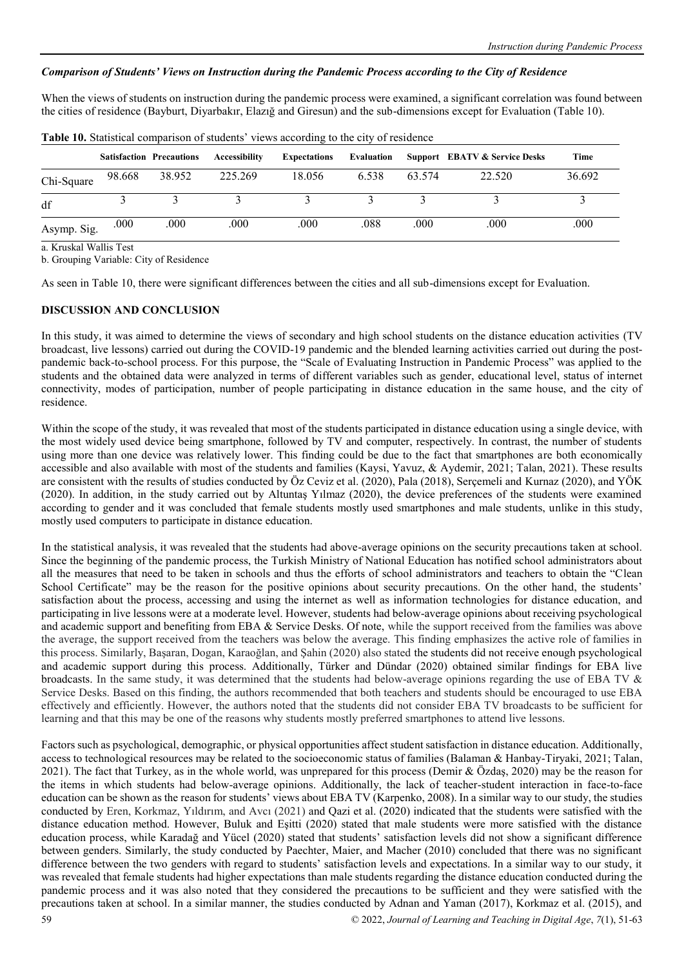# *Comparison of Students' Views on Instruction during the Pandemic Process according to the City of Residence*

When the views of students on instruction during the pandemic process were examined, a significant correlation was found between the cities of residence (Bayburt, Diyarbakır, Elazığ and Giresun) and the sub-dimensions except for Evaluation (Table 10).

|             |        | <b>Satisfaction Precautions</b> | Accessibility | <b>Expectations</b> | Evaluation |        | <b>Support EBATV &amp; Service Desks</b> | Time   |
|-------------|--------|---------------------------------|---------------|---------------------|------------|--------|------------------------------------------|--------|
| Chi-Square  | 98.668 | 38.952                          | 225.269       | 18.056              | 6.538      | 63.574 | 22.520                                   | 36.692 |
| df          |        |                                 |               |                     |            |        |                                          |        |
| Asymp. Sig. | .000   | .000                            | .000          | .000                | .088       | .000   | .000                                     | .000   |

**Table 10.** Statistical comparison of students' views according to the city of residence

a. Kruskal Wallis Test

b. Grouping Variable: City of Residence

As seen in Table 10, there were significant differences between the cities and all sub-dimensions except for Evaluation.

# **DISCUSSION AND CONCLUSION**

In this study, it was aimed to determine the views of secondary and high school students on the distance education activities (TV broadcast, live lessons) carried out during the COVID-19 pandemic and the blended learning activities carried out during the postpandemic back-to-school process. For this purpose, the "Scale of Evaluating Instruction in Pandemic Process" was applied to the students and the obtained data were analyzed in terms of different variables such as gender, educational level, status of internet connectivity, modes of participation, number of people participating in distance education in the same house, and the city of residence.

Within the scope of the study, it was revealed that most of the students participated in distance education using a single device, with the most widely used device being smartphone, followed by TV and computer, respectively. In contrast, the number of students using more than one device was relatively lower. This finding could be due to the fact that smartphones are both economically accessible and also available with most of the students and families (Kaysi, Yavuz, & Aydemir, 2021; Talan, 2021). These results are consistent with the results of studies conducted by Öz Ceviz et al. (2020), Pala (2018), Serçemeli and Kurnaz (2020), and YÖK (2020). In addition, in the study carried out by Altuntaş Yılmaz (2020), the device preferences of the students were examined according to gender and it was concluded that female students mostly used smartphones and male students, unlike in this study, mostly used computers to participate in distance education.

In the statistical analysis, it was revealed that the students had above-average opinions on the security precautions taken at school. Since the beginning of the pandemic process, the Turkish Ministry of National Education has notified school administrators about all the measures that need to be taken in schools and thus the efforts of school administrators and teachers to obtain the "Clean School Certificate" may be the reason for the positive opinions about security precautions. On the other hand, the students' satisfaction about the process, accessing and using the internet as well as information technologies for distance education, and participating in live lessons were at a moderate level. However, students had below-average opinions about receiving psychological and academic support and benefiting from EBA & Service Desks. Of note, while the support received from the families was above the average, the support received from the teachers was below the average. This finding emphasizes the active role of families in this process. Similarly, Başaran, Dogan, Karaoğlan, and Şahin (2020) also stated the students did not receive enough psychological and academic support during this process. Additionally, Türker and Dündar (2020) obtained similar findings for EBA live broadcasts. In the same study, it was determined that the students had below-average opinions regarding the use of EBA TV  $\&$ Service Desks. Based on this finding, the authors recommended that both teachers and students should be encouraged to use EBA effectively and efficiently. However, the authors noted that the students did not consider EBA TV broadcasts to be sufficient for learning and that this may be one of the reasons why students mostly preferred smartphones to attend live lessons.

59 © 2022, *Journal of Learning and Teaching in Digital Age*, *7*(1), 51-63 Factors such as psychological, demographic, or physical opportunities affect student satisfaction in distance education. Additionally, access to technological resources may be related to the socioeconomic status of families (Balaman & Hanbay-Tiryaki, 2021; Talan, 2021). The fact that Turkey, as in the whole world, was unprepared for this process (Demir & Özdaş, 2020) may be the reason for the items in which students had below-average opinions. Additionally, the lack of teacher-student interaction in face-to-face education can be shown as the reason for students' views about EBA TV (Karpenko, 2008). In a similar way to our study, the studies conducted by Eren, Korkmaz, Yıldırım, and Avcı (2021) and Qazi et al. (2020) indicated that the students were satisfied with the distance education method. However, Buluk and Eşitti (2020) stated that male students were more satisfied with the distance education process, while Karadağ and Yücel (2020) stated that students' satisfaction levels did not show a significant difference between genders. Similarly, the study conducted by Paechter, Maier, and Macher (2010) concluded that there was no significant difference between the two genders with regard to students' satisfaction levels and expectations. In a similar way to our study, it was revealed that female students had higher expectations than male students regarding the distance education conducted during the pandemic process and it was also noted that they considered the precautions to be sufficient and they were satisfied with the precautions taken at school. In a similar manner, the studies conducted by Adnan and Yaman (2017), Korkmaz et al. (2015), and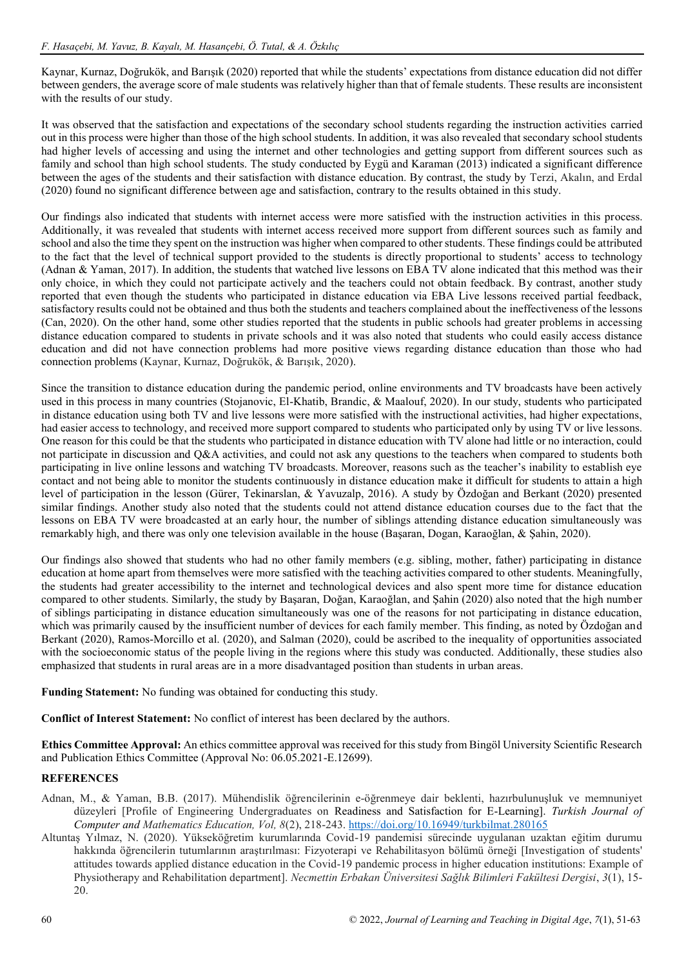Kaynar, Kurnaz, Doğrukök, and Barışık (2020) reported that while the students' expectations from distance education did not differ between genders, the average score of male students was relatively higher than that of female students. These results are inconsistent with the results of our study.

It was observed that the satisfaction and expectations of the secondary school students regarding the instruction activities carried out in this process were higher than those of the high school students. In addition, it was also revealed that secondary school students had higher levels of accessing and using the internet and other technologies and getting support from different sources such as family and school than high school students. The study conducted by Eygü and Karaman (2013) indicated a significant difference between the ages of the students and their satisfaction with distance education. By contrast, the study by Terzi, Akalın, and Erdal (2020) found no significant difference between age and satisfaction, contrary to the results obtained in this study.

Our findings also indicated that students with internet access were more satisfied with the instruction activities in this process. Additionally, it was revealed that students with internet access received more support from different sources such as family and school and also the time they spent on the instruction was higher when compared to other students. These findings could be attributed to the fact that the level of technical support provided to the students is directly proportional to students' access to technology (Adnan & Yaman, 2017). In addition, the students that watched live lessons on EBA TV alone indicated that this method was their only choice, in which they could not participate actively and the teachers could not obtain feedback. By contrast, another study reported that even though the students who participated in distance education via EBA Live lessons received partial feedback, satisfactory results could not be obtained and thus both the students and teachers complained about the ineffectiveness of the lessons (Can, 2020). On the other hand, some other studies reported that the students in public schools had greater problems in accessing distance education compared to students in private schools and it was also noted that students who could easily access distance education and did not have connection problems had more positive views regarding distance education than those who had connection problems (Kaynar, Kurnaz, Doğrukök, & Barışık, 2020).

Since the transition to distance education during the pandemic period, online environments and TV broadcasts have been actively used in this process in many countries (Stojanovic, El-Khatib, Brandic, & Maalouf, 2020). In our study, students who participated in distance education using both TV and live lessons were more satisfied with the instructional activities, had higher expectations, had easier access to technology, and received more support compared to students who participated only by using TV or live lessons. One reason for this could be that the students who participated in distance education with TV alone had little or no interaction, could not participate in discussion and Q&A activities, and could not ask any questions to the teachers when compared to students both participating in live online lessons and watching TV broadcasts. Moreover, reasons such as the teacher's inability to establish eye contact and not being able to monitor the students continuously in distance education make it difficult for students to attain a high level of participation in the lesson (Gürer, Tekinarslan, & Yavuzalp, 2016). A study by Özdoğan and Berkant (2020) presented similar findings. Another study also noted that the students could not attend distance education courses due to the fact that the lessons on EBA TV were broadcasted at an early hour, the number of siblings attending distance education simultaneously was remarkably high, and there was only one television available in the house (Başaran, Dogan, Karaoğlan, & Şahin, 2020).

Our findings also showed that students who had no other family members (e.g. sibling, mother, father) participating in distance education at home apart from themselves were more satisfied with the teaching activities compared to other students. Meaningfully, the students had greater accessibility to the internet and technological devices and also spent more time for distance education compared to other students. Similarly, the study by Başaran, Doğan, Karaoğlan, and Şahin (2020) also noted that the high number of siblings participating in distance education simultaneously was one of the reasons for not participating in distance education, which was primarily caused by the insufficient number of devices for each family member. This finding, as noted by Özdoğan and Berkant (2020), Ramos-Morcillo et al. (2020), and Salman (2020), could be ascribed to the inequality of opportunities associated with the socioeconomic status of the people living in the regions where this study was conducted. Additionally, these studies also emphasized that students in rural areas are in a more disadvantaged position than students in urban areas.

**Funding Statement:** No funding was obtained for conducting this study.

**Conflict of Interest Statement:** No conflict of interest has been declared by the authors.

**Ethics Committee Approval:** An ethics committee approval was received for this study from Bingöl University Scientific Research and Publication Ethics Committee (Approval No: 06.05.2021-E.12699).

## **REFERENCES**

- Adnan, M., & Yaman, B.B. (2017). Mühendislik öğrencilerinin e-öğrenmeye dair beklenti, hazırbulunuşluk ve memnuniyet düzeyleri [Profile of Engineering Undergraduates on Readiness and Satisfaction for E-Learning]. *Turkish Journal of Computer and Mathematics Education, Vol, 8*(2), 218-243[. https://doi.org/10.16949/turkbilmat.280165](https://doi.org/10.16949/turkbilmat.280165)
- Altuntaş Yılmaz, N. (2020). Yükseköğretim kurumlarında Covid-19 pandemisi sürecinde uygulanan uzaktan eğitim durumu hakkında öğrencilerin tutumlarının araştırılması: Fizyoterapi ve Rehabilitasyon bölümü örneği [Investigation of students' attitudes towards applied distance education in the Covid-19 pandemic process in higher education institutions: Example of Physiotherapy and Rehabilitation department]. *Necmettin Erbakan Üniversitesi Sağlık Bilimleri Fakültesi Dergisi*, *3*(1), 15- 20.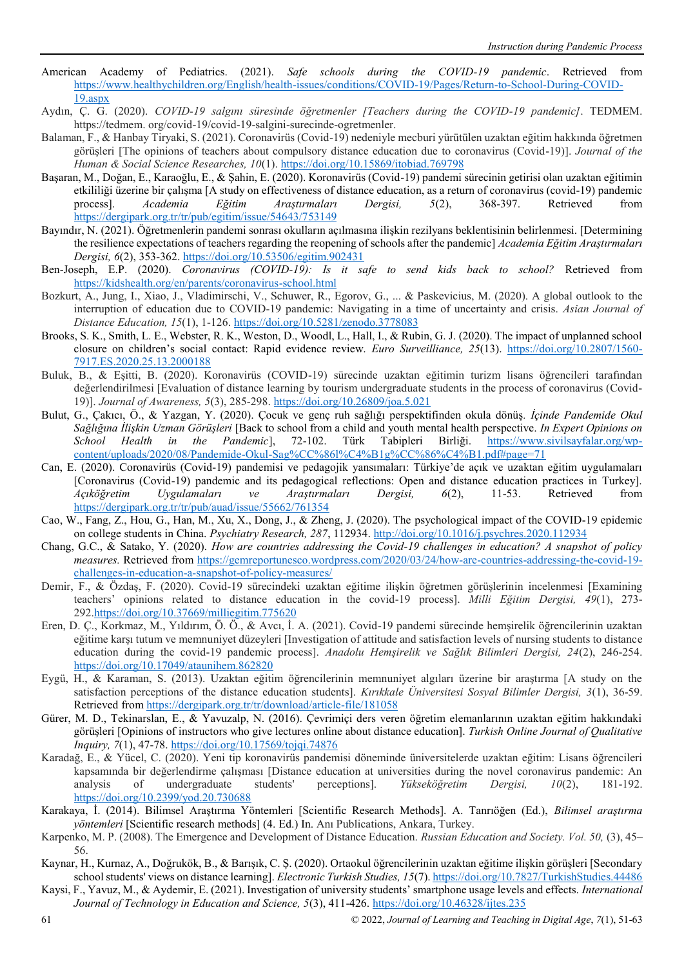- American Academy of Pediatrics. (2021). *Safe schools during the COVID-19 pandemic*. Retrieved from [https://www.healthychildren.org/English/health-issues/conditions/COVID-19/Pages/Return-to-School-During-COVID-](https://www.healthychildren.org/English/health-issues/conditions/COVID-19/Pages/Return-to-School-During-COVID-19.aspx)[19.aspx](https://www.healthychildren.org/English/health-issues/conditions/COVID-19/Pages/Return-to-School-During-COVID-19.aspx)
- Aydın, Ç. G. (2020). *COVID-19 salgını süresinde öğretmenler [Teachers during the COVID-19 pandemic]*. TEDMEM. https://tedmem. org/covid-19/covid-19-salgini-surecinde-ogretmenler.
- Balaman, F., & Hanbay Tiryaki, S. (2021). Coronavirüs (Covid-19) nedeniyle mecburi yürütülen uzaktan eğitim hakkında öğretmen görüşleri [The opinions of teachers about compulsory distance education due to coronavirus (Covid-19)]. *Journal of the Human & Social Science Researches, 10*(1).<https://doi.org/10.15869/itobiad.769798>
- Başaran, M., Doğan, E., Karaoğlu, E., & Şahin, E. (2020). Koronavirüs (Covid-19) pandemi sürecinin getirisi olan uzaktan eğitimin etkililiği üzerine bir çalışma [A study on effectiveness of distance education, as a return of coronavirus (covid-19) pandemic process]. *Academia Eğitim Araştırmaları Dergisi, 5*(2), 368-397. Retrieved from <https://dergipark.org.tr/tr/pub/egitim/issue/54643/753149>
- Bayındır, N. (2021). Öğretmenlerin pandemi sonrası okulların açılmasına ilişkin rezilyans beklentisinin belirlenmesi. [Determining the resilience expectations of teachers regarding the reopening of schools after the pandemic] *Academia Eğitim Araştırmaları Dergisi, 6*(2), 353-362.<https://doi.org/10.53506/egitim.902431>
- Ben-Joseph, E.P. (2020). *Coronavirus (COVID-19): Is it safe to send kids back to school?* Retrieved from <https://kidshealth.org/en/parents/coronavirus-school.html>
- Bozkurt, A., Jung, I., Xiao, J., Vladimirschi, V., Schuwer, R., Egorov, G., ... & Paskevicius, M. (2020). A global outlook to the interruption of education due to COVID-19 pandemic: Navigating in a time of uncertainty and crisis. *Asian Journal of Distance Education, 15*(1), 1-126[. https://doi.org/10.5281/zenodo.3778083](https://doi.org/10.5281/zenodo.3778083)
- Brooks, S. K., Smith, L. E., Webster, R. K., Weston, D., Woodl, L., Hall, I., & Rubin, G. J. (2020). The impact of unplanned school closure on children's social contact: Rapid evidence review. *Euro Surveilliance, 25*(13). [https://doi.org/10.2807/1560-](https://doi.org/10.2807/1560-7917.ES.2020.25.13.2000188) [7917.ES.2020.25.13.2000188](https://doi.org/10.2807/1560-7917.ES.2020.25.13.2000188)
- Buluk, B., & Eşitti, B. (2020). Koronavirüs (COVID-19) sürecinde uzaktan eğitimin turizm lisans öğrencileri tarafından değerlendirilmesi [Evaluation of distance learning by tourism undergraduate students in the process of coronavirus (Covid-19)]. *Journal of Awareness, 5*(3), 285-298.<https://doi.org/10.26809/joa.5.021>
- Bulut, G., Çakıcı, Ö., & Yazgan, Y. (2020). Çocuk ve genç ruh sağlığı perspektifinden okula dönüş*. İçinde Pandemide Okul Sağlığına İlişkin Uzman Görüşleri* [Back to school from a child and youth mental health perspective. *In Expert Opinions on School Health in the Pandemic*], 72-102. Türk Tabipleri Birliği. [https://www.sivilsayfalar.org/wp](https://www.sivilsayfalar.org/wp-content/uploads/2020/08/Pandemide-Okul-Sag%CC%86l%C4%B1g%CC%86%C4%B1.pdf%23page=71)[content/uploads/2020/08/Pandemide-Okul-Sag%CC%86l%C4%B1g%CC%86%C4%B1.pdf#page=71](https://www.sivilsayfalar.org/wp-content/uploads/2020/08/Pandemide-Okul-Sag%CC%86l%C4%B1g%CC%86%C4%B1.pdf%23page=71)
- Can, E. (2020). Coronavirüs (Covid-19) pandemisi ve pedagojik yansımaları: Türkiye'de açık ve uzaktan eğitim uygulamaları [Coronavirus (Covid-19) pandemic and its pedagogical reflections: Open and distance education practices in Turkey]. *Açıköğretim Uygulamaları ve Araştırmaları Dergisi, 6*(2), 11-53. Retrieved from <https://dergipark.org.tr/tr/pub/auad/issue/55662/761354>
- Cao, W., Fang, Z., Hou, G., Han, M., Xu, X., Dong, J., & Zheng, J. (2020). The psychological impact of the COVID-19 epidemic on college students in China. *Psychiatry Research, 287*, 112934.<http://doi.org/10.1016/j.psychres.2020.112934>
- Chang, G.C., & Satako, Y. (2020). *How are countries addressing the Covid-19 challenges in education? A snapshot of policy measures.* Retrieved from [https://gemreportunesco.wordpress.com/2020/03/24/how-are-countries-addressing-the-covid-19](https://gemreportunesco.wordpress.com/2020/03/24/how-are-countries-addressing-the-covid-19-challenges-in-education-a-snapshot-of-policy-measures/) [challenges-in-education-a-snapshot-of-policy-measures/](https://gemreportunesco.wordpress.com/2020/03/24/how-are-countries-addressing-the-covid-19-challenges-in-education-a-snapshot-of-policy-measures/)
- Demir, F., & Özdaş, F. (2020). Covid-19 sürecindeki uzaktan eğitime ilişkin öğretmen görüşlerinin incelenmesi [Examining teachers' opinions related to distance education in the covid-19 process]. *Milli Eğitim Dergisi, 49*(1), 273- 292[.https://doi.org/10.37669/milliegitim.775620](https://doi.org/10.37669/milliegitim.775620)
- Eren, D. Ç., Korkmaz, M., Yıldırım, Ö. Ö., & Avcı, İ. A. (2021). Covid-19 pandemi sürecinde hemşirelik öğrencilerinin uzaktan eğitime karşı tutum ve memnuniyet düzeyleri [Investigation of attitude and satisfaction levels of nursing students to distance education during the covid-19 pandemic process]. *Anadolu Hemşirelik ve Sağlık Bilimleri Dergisi, 24*(2), 246-254. <https://doi.org/10.17049/ataunihem.862820>
- Eygü, H., & Karaman, S. (2013). Uzaktan eğitim öğrencilerinin memnuniyet algıları üzerine bir araştırma [A study on the satisfaction perceptions of the distance education students]. *Kırıkkale Üniversitesi Sosyal Bilimler Dergisi, 3*(1), 36-59. Retrieved fro[m https://dergipark.org.tr/tr/download/article-file/181058](https://dergipark.org.tr/tr/download/article-file/181058)
- Gürer, M. D., Tekinarslan, E., & Yavuzalp, N. (2016). Çevrimiçi ders veren öğretim elemanlarının uzaktan eğitim hakkındaki görüşleri [Opinions of instructors who give lectures online about distance education]. *Turkish Online Journal of Qualitative Inquiry, 7*(1), 47-78.<https://doi.org/10.17569/tojqi.74876>
- Karadağ, E., & Yücel, C. (2020). Yeni tip koronavirüs pandemisi döneminde üniversitelerde uzaktan eğitim: Lisans öğrencileri kapsamında bir değerlendirme çalışması [Distance education at universities during the novel coronavirus pandemic: An analysis of undergraduate students' perceptions]. *Yükseköğretim Dergisi, 10*(2), 181-192. <https://doi.org/10.2399/yod.20.730688>
- Karakaya, İ. (2014). Bilimsel Araştırma Yöntemleri [Scientific Research Methods]. A. Tanrıöğen (Ed.), *Bilimsel araştırma yöntemleri* [Scientific research methods] (4. Ed.) In. Anı Publications, Ankara, Turkey.
- Karpenko, M. P. (2008). The Emergence and Development of Distance Education. *Russian Education and Society. Vol. 50,* (3), 45– 56.
- Kaynar, H., Kurnaz, A., Doğrukök, B., & Barışık, C. Ş. (2020). Ortaokul öğrencilerinin uzaktan eğitime ilişkin görüşleri [Secondary school students' views on distance learning]. *Electronic Turkish Studies, 15*(7).<https://doi.org/10.7827/TurkishStudies.44486>
- Kaysi, F., Yavuz, M., & Aydemir, E. (2021). Investigation of university students' smartphone usage levels and effects. *International Journal of Technology in Education and Science, 5*(3), 411-426.<https://doi.org/10.46328/ijtes.235>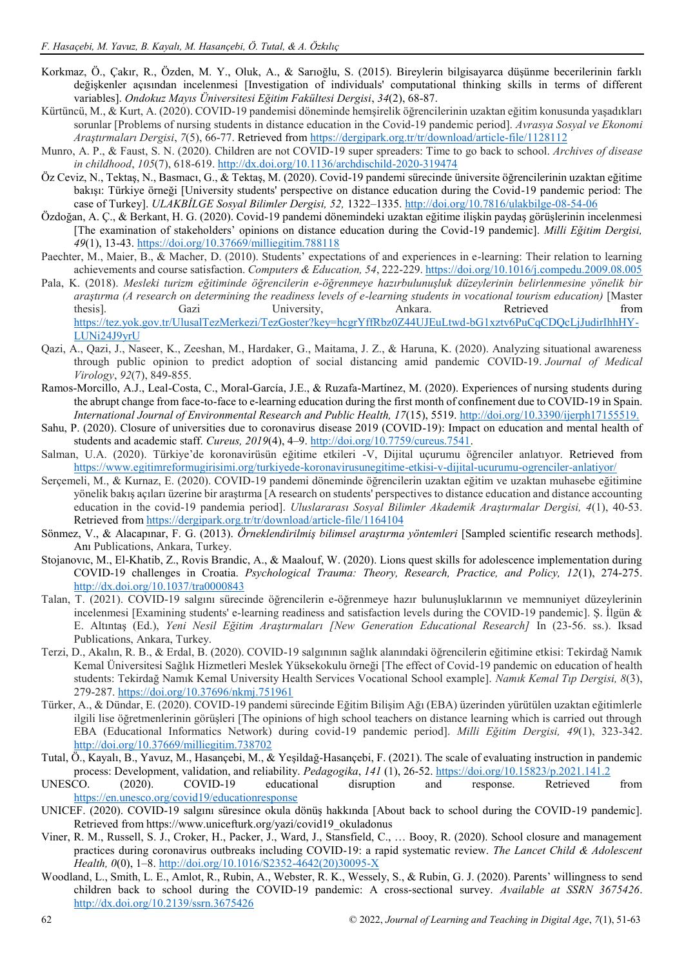- Korkmaz, Ö., Çakır, R., Özden, M. Y., Oluk, A., & Sarıoğlu, S. (2015). Bireylerin bilgisayarca düşünme becerilerinin farklı değişkenler açısından incelenmesi [Investigation of individuals' computational thinking skills in terms of different variables]. *Ondokuz Mayıs Üniversitesi Eğitim Fakültesi Dergisi*, *34*(2), 68-87.
- Kürtüncü, M., & Kurt, A. (2020). COVID-19 pandemisi döneminde hemşirelik öğrencilerinin uzaktan eğitim konusunda yaşadıkları sorunlar [Problems of nursing students in distance education in the Covid-19 pandemic period]. *Avrasya Sosyal ve Ekonomi Araştırmaları Dergisi*, *7*(5), 66-77. Retrieved from<https://dergipark.org.tr/tr/download/article-file/1128112>
- Munro, A. P., & Faust, S. N. (2020). Children are not COVID-19 super spreaders: Time to go back to school. *Archives of disease in childhood*, *105*(7), 618-619[. http://dx.doi.org/10.1136/archdischild-2020-319474](http://dx.doi.org/10.1136/archdischild-2020-319474)
- Öz Ceviz, N., Tektaş, N., Basmacı, G., & Tektaş, M. (2020). Covid-19 pandemi sürecinde üniversite öğrencilerinin uzaktan eğitime bakışı: Türkiye örneği [University students' perspective on distance education during the Covid-19 pandemic period: The case of Turkey]. *ULAKBİLGE Sosyal Bilimler Dergisi, 52,* 1322–1335[. http://doi.org/10.7816/ulakbilge-08-54-06](http://doi.org/10.7816/ulakbilge-08-54-06)
- Özdoğan, A. Ç., & Berkant, H. G. (2020). Covid-19 pandemi dönemindeki uzaktan eğitime ilişkin paydaş görüşlerinin incelenmesi [The examination of stakeholders' opinions on distance education during the Covid-19 pandemic]. *Milli Eğitim Dergisi, 49*(1), 13-43.<https://doi.org/10.37669/milliegitim.788118>
- Paechter, M., Maier, B., & Macher, D. (2010). Students' expectations of and experiences in e-learning: Their relation to learning achievements and course satisfaction. *Computers & Education, 54*, 222-229[. https://doi.org/10.1016/j.compedu.2009.08.005](https://doi.org/10.1016/j.compedu.2009.08.005)
- Pala, K. (2018). *Mesleki turizm eğitiminde öğrencilerin e-öğrenmeye hazırbulunuşluk düzeylerinin belirlenmesine yönelik bir araştırma (A research on determining the readiness levels of e-learning students in vocational tourism education)* [Master thesis]. Gazi University, Ankara. Retrieved from [https://tez.yok.gov.tr/UlusalTezMerkezi/TezGoster?key=hcgrYffRbz0Z44UJEuLtwd-bG1xztv6PuCqCDQcLjJudirIhhHY-](https://tez.yok.gov.tr/UlusalTezMerkezi/TezGoster?key=hcgrYffRbz0Z44UJEuLtwd-bG1xztv6PuCqCDQcLjJudirIhhHY-LUNi24J9yrU)[LUNi24J9yrU](https://tez.yok.gov.tr/UlusalTezMerkezi/TezGoster?key=hcgrYffRbz0Z44UJEuLtwd-bG1xztv6PuCqCDQcLjJudirIhhHY-LUNi24J9yrU)
- Qazi, A., Qazi, J., Naseer, K., Zeeshan, M., Hardaker, G., Maitama, J. Z., & Haruna, K. (2020). Analyzing situational awareness through public opinion to predict adoption of social distancing amid pandemic COVID‐19. *Journal of Medical Virology*, *92*(7), 849-855.
- Ramos-Morcillo, A.J., Leal-Costa, C., Moral-García, J.E., & Ruzafa-Martínez, M. (2020). Experiences of nursing students during the abrupt change from face-to-face to e-learning education during the first month of confinement due to COVID-19 in Spain. *International Journal of Environmental Research and Public Health, 17*(15), 5519.<http://doi.org/10.3390/ijerph17155519.>
- Sahu, P. (2020). Closure of universities due to coronavirus disease 2019 (COVID-19): Impact on education and mental health of students and academic staff. *Cureus, 2019*(4), 4–9. [http://doi.org/10.7759/cureus.7541.](http://doi.org/10.7759/cureus.7541)
- Salman, U.A. (2020). Türkiye'de koronavirüsün eğitime etkileri -V, Dijital uçurumu öğrenciler anlatıyor. Retrieved from <https://www.egitimreformugirisimi.org/turkiyede-koronavirusunegitime-etkisi-v-dijital-ucurumu-ogrenciler-anlatiyor/>
- Serçemeli, M., & Kurnaz, E. (2020). COVID-19 pandemi döneminde öğrencilerin uzaktan eğitim ve uzaktan muhasebe eğitimine yönelik bakış açıları üzerine bir araştırma [A research on students' perspectives to distance education and distance accounting education in the covid-19 pandemia period]. *Uluslararası Sosyal Bilimler Akademik Araştırmalar Dergisi, 4*(1), 40-53. Retrieved fro[m https://dergipark.org.tr/tr/download/article-file/1164104](https://dergipark.org.tr/tr/download/article-file/1164104)
- Sönmez, V., & Alacapınar, F. G. (2013). *Örneklendirilmiş bilimsel araştırma yöntemleri* [Sampled scientific research methods]. Anı Publications, Ankara, Turkey.
- Stojanovıc, M., El-Khatib, Z., Rovis Brandic, A., & Maalouf, W. (2020). Lions quest skills for adolescence implementation during COVID-19 challenges in Croatia. *Psychological Trauma: Theory, Research, Practice, and Policy, 12*(1), 274-275. <http://dx.doi.org/10.1037/tra0000843>
- Talan, T. (2021). COVID-19 salgını sürecinde öğrencilerin e-öğrenmeye hazır bulunuşluklarının ve memnuniyet düzeylerinin incelenmesi [Examining students' e-learning readiness and satisfaction levels during the COVID-19 pandemic]. Ş. İlgün & E. Altıntaş (Ed.), *Yeni Nesil Eğitim Araştırmaları [New Generation Educational Research]* In (23-56. ss.). Iksad Publications, Ankara, Turkey.
- Terzi, D., Akalın, R. B., & Erdal, B. (2020). COVID-19 salgınının sağlık alanındaki öğrencilerin eğitimine etkisi: Tekirdağ Namık Kemal Üniversitesi Sağlık Hizmetleri Meslek Yüksekokulu örneği [The effect of Covid-19 pandemic on education of health students: Tekirdağ Namık Kemal University Health Services Vocational School example]. *Namık Kemal Tıp Dergisi, 8*(3), 279-287[. https://doi.org/10.37696/nkmj.751961](https://doi.org/10.37696/nkmj.751961)
- Türker, A., & Dündar, E. (2020). COVID-19 pandemi sürecinde Eğitim Bilişim Ağı (EBA) üzerinden yürütülen uzaktan eğitimlerle ilgili lise öğretmenlerinin görüşleri [The opinions of high school teachers on distance learning which is carried out through EBA (Educational Informatics Network) during covid-19 pandemic period]. *Milli Eğitim Dergisi, 49*(1), 323-342. <http://doi.org/10.37669/milliegitim.738702>
- Tutal, Ö., Kayalı, B., Yavuz, M., Hasançebi, M., & Yeşildağ-Hasançebi, F. (2021). The scale of evaluating instruction in pandemic process: Development, validation, and reliability. *Pedagogika*, *141* (1), 26-52[. https://doi.org/10.15823/p.2021.141.2](https://doi.org/10.15823/p.2021.141.2)
- UNESCO. (2020). COVID-19 educational disruption and response. Retrieved from <https://en.unesco.org/covid19/educationresponse>
- UNICEF. (2020). COVID-19 salgını süresince okula dönüş hakkında [About back to school during the COVID-19 pandemic]. Retrieved from https://www.unicefturk.org/yazi/covid19\_okuladonus
- Viner, R. M., Russell, S. J., Croker, H., Packer, J., Ward, J., Stansfield, C., … Booy, R. (2020). School closure and management practices during coronavirus outbreaks including COVID-19: a rapid systematic review. *The Lancet Child & Adolescent Health, 0*(0), 1–8. [http://doi.org/10.1016/S2352-4642\(20\)30095-X](http://doi.org/10.1016/S2352-4642(20)30095-X)
- Woodland, L., Smith, L. E., Amlot, R., Rubin, A., Webster, R. K., Wessely, S., & Rubin, G. J. (2020). Parents' willingness to send children back to school during the COVID-19 pandemic: A cross-sectional survey. *Available at SSRN 3675426*. <http://dx.doi.org/10.2139/ssrn.3675426>